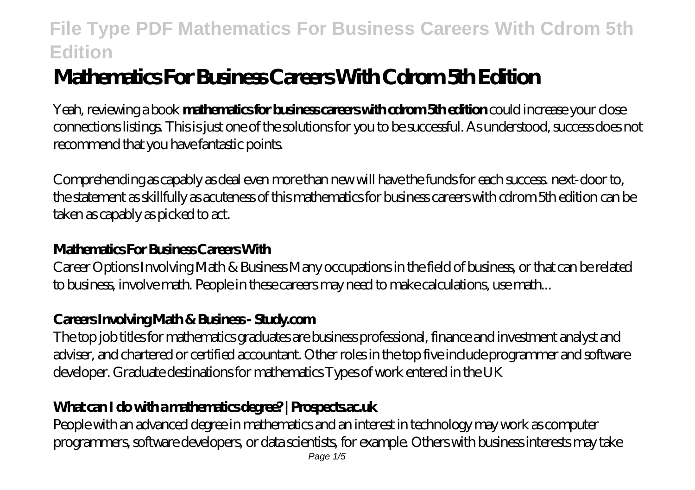# **Mathematics For Business Careers With Cdrom 5th Edition**

Yeah, reviewing a book **mathematics for business careers with cdrom 5th edition** could increase your close connections listings. This is just one of the solutions for you to be successful. As understood, success does not recommend that you have fantastic points.

Comprehending as capably as deal even more than new will have the funds for each success. next-door to, the statement as skillfully as acuteness of this mathematics for business careers with cdrom 5th edition can be taken as capably as picked to act.

#### **Mathematics For Business Careers With**

Career Options Involving Math & Business Many occupations in the field of business, or that can be related to business, involve math. People in these careers may need to make calculations, use math...

## **Careers Involving Math & Business - Study.com**

The top job titles for mathematics graduates are business professional, finance and investment analyst and adviser, and chartered or certified accountant. Other roles in the top five include programmer and software developer. Graduate destinations for mathematics Types of work entered in the UK

## **What can I do with a mathematics degree? | Prospects.ac.uk**

People with an advanced degree in mathematics and an interest in technology may work as computer programmers, software developers, or data scientists, for example. Others with business interests may take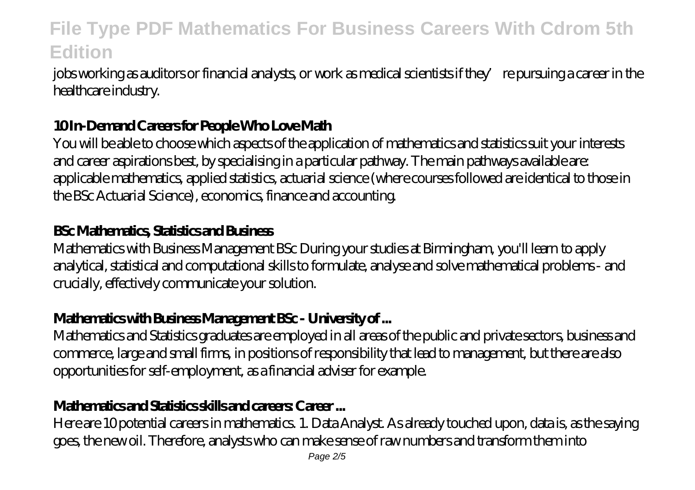jobs working as auditors or financial analysts, or work as medical scientists if they're pursuing a career in the healthcare industry.

## **10 In-Demand Careers for People Who Love Math**

You will be able to choose which aspects of the application of mathematics and statistics suit your interests and career aspirations best, by specialising in a particular pathway. The main pathways available are: applicable mathematics, applied statistics, actuarial science (where courses followed are identical to those in the BSc Actuarial Science), economics, finance and accounting.

#### **BSc Mathematics, Statistics and Business**

Mathematics with Business Management BSc During your studies at Birmingham, you'll learn to apply analytical, statistical and computational skills to formulate, analyse and solve mathematical problems - and crucially, effectively communicate your solution.

## **Mathematics with Business Management BSc - University of ...**

Mathematics and Statistics graduates are employed in all areas of the public and private sectors, business and commerce, large and small firms, in positions of responsibility that lead to management, but there are also opportunities for self-employment, as a financial adviser for example.

## **Mathematics and Statistics skills and careers: Career ...**

Here are 10 potential careers in mathematics. 1. Data Analyst. As already touched upon, data is, as the saying goes, the new oil. Therefore, analysts who can make sense of raw numbers and transform them into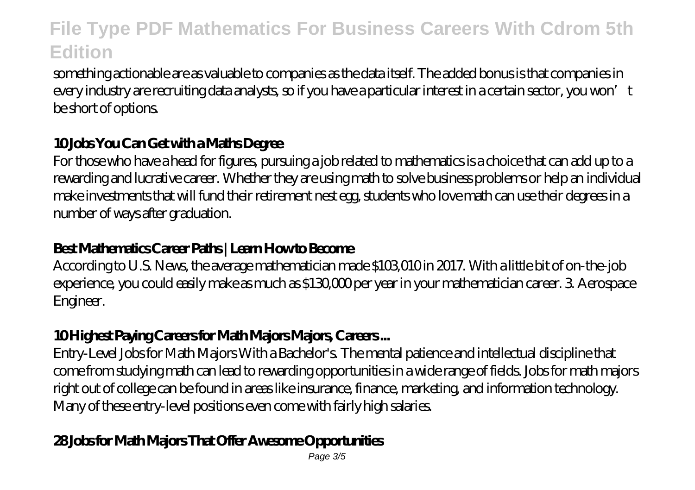something actionable are as valuable to companies as the data itself. The added bonus is that companies in every industry are recruiting data analysts, so if you have a particular interest in a certain sector, you won't be short of options.

#### **10 Jobs You Can Get with a Maths Degree**

For those who have a head for figures, pursuing a job related to mathematics is a choice that can add up to a rewarding and lucrative career. Whether they are using math to solve business problems or help an individual make investments that will fund their retirement nest egg, students who love math can use their degrees in a number of ways after graduation.

#### **Best Mathematics Career Paths | Learn How to Become**

According to U.S. News, the average mathematician made \$103,010 in 2017. With a little bit of on-the-job experience, you could easily make as much as \$130,000 per year in your mathematician career. 3. Aerospace Engineer.

## **10 Highest Paying Careers for Math Majors Majors, Careers ...**

Entry-Level Jobs for Math Majors With a Bachelor's. The mental patience and intellectual discipline that come from studying math can lead to rewarding opportunities in a wide range of fields. Jobs for math majors right out of college can be found in areas like insurance, finance, marketing, and information technology. Many of these entry-level positions even come with fairly high salaries.

## **28 Jobs for Math Majors That Offer Awesome Opportunities**

Page 3/5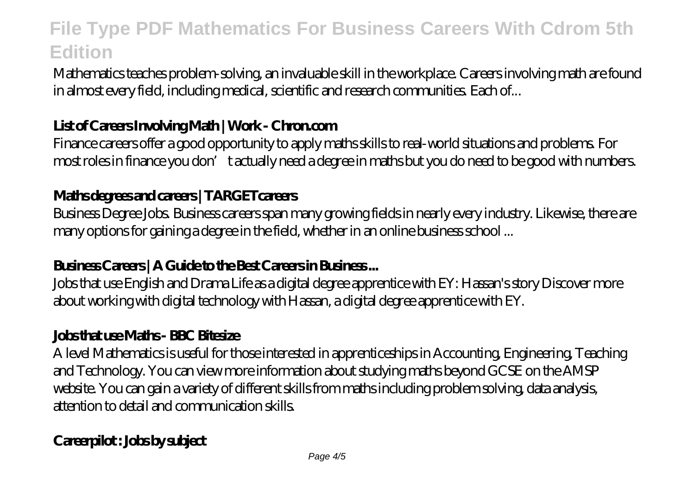Mathematics teaches problem-solving, an invaluable skill in the workplace. Careers involving math are found in almost every field, including medical, scientific and research communities. Each of...

### List of Careers Involving Math | Work - Chron.com

Finance careers offer a good opportunity to apply maths skills to real-world situations and problems. For most roles in finance you don't actually need a degree in maths but you do need to be good with numbers.

### **Maths degrees and careers | TARGETcareers**

Business Degree Jobs. Business careers span many growing fields in nearly every industry. Likewise, there are many options for gaining a degree in the field, whether in an online business school ...

#### **Business Careers | A Guide to the Best Careers in Business ...**

Jobs that use English and Drama Life as a digital degree apprentice with EY: Hassan's story Discover more about working with digital technology with Hassan, a digital degree apprentice with EY.

#### **Jobs that use Maths - BBC Bitesize**

A level Mathematics is useful for those interested in apprenticeships in Accounting, Engineering, Teaching and Technology. You can view more information about studying maths beyond GCSE on the AMSP website. You can gain a variety of different skills from maths including problem solving, data analysis, attention to detail and communication skills.

## **Careerpilot : Jobs by subject**